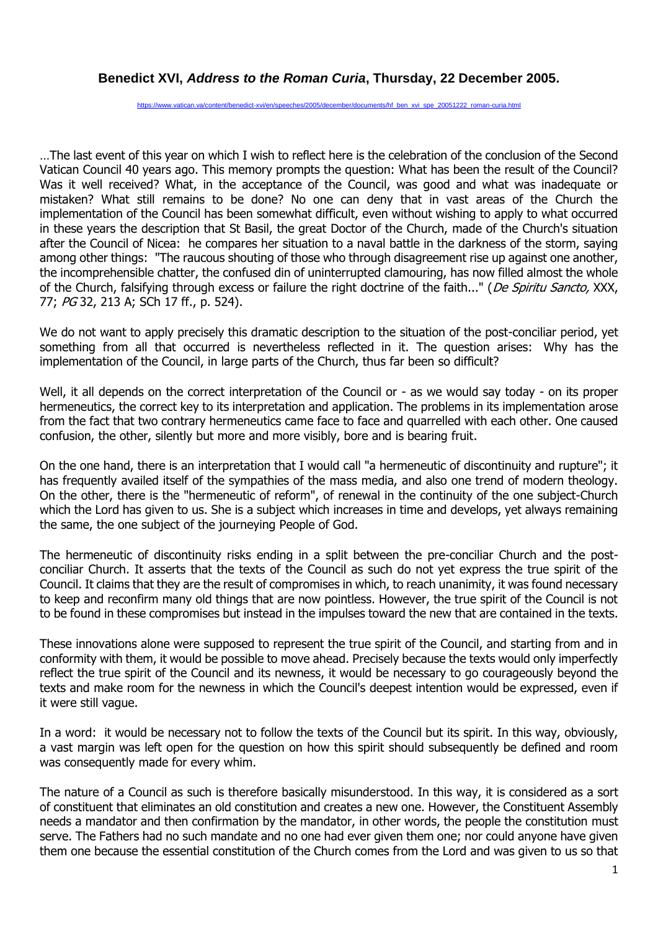## **Benedict XVI,** *Address to the Roman Curia***, Thursday, 22 December 2005.**

[https://www.vatican.va/content/benedict-xvi/en/speeches/2005/december/documents/hf\\_ben\\_xvi\\_spe\\_20051222\\_roman-curia.html](https://www.vatican.va/content/benedict-xvi/en/speeches/2005/december/documents/hf_ben_xvi_spe_20051222_roman-curia.html)

…The last event of this year on which I wish to reflect here is the celebration of the conclusion of the Second Vatican Council 40 years ago. This memory prompts the question: What has been the result of the Council? Was it well received? What, in the acceptance of the Council, was good and what was inadequate or mistaken? What still remains to be done? No one can deny that in vast areas of the Church the implementation of the Council has been somewhat difficult, even without wishing to apply to what occurred in these years the description that St Basil, the great Doctor of the Church, made of the Church's situation after the Council of Nicea: he compares her situation to a naval battle in the darkness of the storm, saying among other things: "The raucous shouting of those who through disagreement rise up against one another, the incomprehensible chatter, the confused din of uninterrupted clamouring, has now filled almost the whole of the Church, falsifying through excess or failure the right doctrine of the faith..." (De Spiritu Sancto, XXX, 77; PG 32, 213 A; SCh 17 ff., p. 524).

We do not want to apply precisely this dramatic description to the situation of the post-conciliar period, yet something from all that occurred is nevertheless reflected in it. The question arises: Why has the implementation of the Council, in large parts of the Church, thus far been so difficult?

Well, it all depends on the correct interpretation of the Council or - as we would say today - on its proper hermeneutics, the correct key to its interpretation and application. The problems in its implementation arose from the fact that two contrary hermeneutics came face to face and quarrelled with each other. One caused confusion, the other, silently but more and more visibly, bore and is bearing fruit.

On the one hand, there is an interpretation that I would call "a hermeneutic of discontinuity and rupture"; it has frequently availed itself of the sympathies of the mass media, and also one trend of modern theology. On the other, there is the "hermeneutic of reform", of renewal in the continuity of the one subject-Church which the Lord has given to us. She is a subject which increases in time and develops, yet always remaining the same, the one subject of the journeying People of God.

The hermeneutic of discontinuity risks ending in a split between the pre-conciliar Church and the postconciliar Church. It asserts that the texts of the Council as such do not yet express the true spirit of the Council. It claims that they are the result of compromises in which, to reach unanimity, it was found necessary to keep and reconfirm many old things that are now pointless. However, the true spirit of the Council is not to be found in these compromises but instead in the impulses toward the new that are contained in the texts.

These innovations alone were supposed to represent the true spirit of the Council, and starting from and in conformity with them, it would be possible to move ahead. Precisely because the texts would only imperfectly reflect the true spirit of the Council and its newness, it would be necessary to go courageously beyond the texts and make room for the newness in which the Council's deepest intention would be expressed, even if it were still vague.

In a word: it would be necessary not to follow the texts of the Council but its spirit. In this way, obviously, a vast margin was left open for the question on how this spirit should subsequently be defined and room was consequently made for every whim.

The nature of a Council as such is therefore basically misunderstood. In this way, it is considered as a sort of constituent that eliminates an old constitution and creates a new one. However, the Constituent Assembly needs a mandator and then confirmation by the mandator, in other words, the people the constitution must serve. The Fathers had no such mandate and no one had ever given them one; nor could anyone have given them one because the essential constitution of the Church comes from the Lord and was given to us so that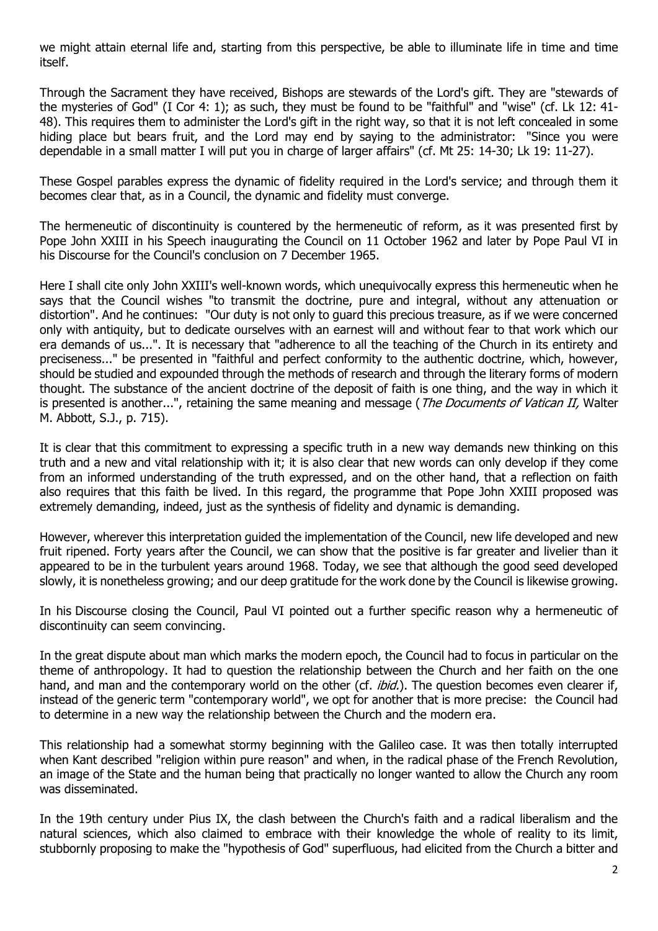we might attain eternal life and, starting from this perspective, be able to illuminate life in time and time itself.

Through the Sacrament they have received, Bishops are stewards of the Lord's gift. They are "stewards of the mysteries of God" (I Cor 4: 1); as such, they must be found to be "faithful" and "wise" (cf. Lk 12: 41- 48). This requires them to administer the Lord's gift in the right way, so that it is not left concealed in some hiding place but bears fruit, and the Lord may end by saying to the administrator: "Since you were dependable in a small matter I will put you in charge of larger affairs" (cf. Mt 25: 14-30; Lk 19: 11-27).

These Gospel parables express the dynamic of fidelity required in the Lord's service; and through them it becomes clear that, as in a Council, the dynamic and fidelity must converge.

The hermeneutic of discontinuity is countered by the hermeneutic of reform, as it was presented first by Pope John XXIII in his Speech inaugurating the Council on 11 October 1962 and later by Pope Paul VI in his Discourse for the Council's conclusion on 7 December 1965.

Here I shall cite only John XXIII's well-known words, which unequivocally express this hermeneutic when he says that the Council wishes "to transmit the doctrine, pure and integral, without any attenuation or distortion". And he continues: "Our duty is not only to guard this precious treasure, as if we were concerned only with antiquity, but to dedicate ourselves with an earnest will and without fear to that work which our era demands of us...". It is necessary that "adherence to all the teaching of the Church in its entirety and preciseness..." be presented in "faithful and perfect conformity to the authentic doctrine, which, however, should be studied and expounded through the methods of research and through the literary forms of modern thought. The substance of the ancient doctrine of the deposit of faith is one thing, and the way in which it is presented is another...", retaining the same meaning and message (*The Documents of Vatican II*, Walter M. Abbott, S.J., p. 715).

It is clear that this commitment to expressing a specific truth in a new way demands new thinking on this truth and a new and vital relationship with it; it is also clear that new words can only develop if they come from an informed understanding of the truth expressed, and on the other hand, that a reflection on faith also requires that this faith be lived. In this regard, the programme that Pope John XXIII proposed was extremely demanding, indeed, just as the synthesis of fidelity and dynamic is demanding.

However, wherever this interpretation guided the implementation of the Council, new life developed and new fruit ripened. Forty years after the Council, we can show that the positive is far greater and livelier than it appeared to be in the turbulent years around 1968. Today, we see that although the good seed developed slowly, it is nonetheless growing; and our deep gratitude for the work done by the Council is likewise growing.

In his Discourse closing the Council, Paul VI pointed out a further specific reason why a hermeneutic of discontinuity can seem convincing.

In the great dispute about man which marks the modern epoch, the Council had to focus in particular on the theme of anthropology. It had to question the relationship between the Church and her faith on the one hand, and man and the contemporary world on the other (cf. *ibid.*). The question becomes even clearer if. instead of the generic term "contemporary world", we opt for another that is more precise: the Council had to determine in a new way the relationship between the Church and the modern era.

This relationship had a somewhat stormy beginning with the Galileo case. It was then totally interrupted when Kant described "religion within pure reason" and when, in the radical phase of the French Revolution, an image of the State and the human being that practically no longer wanted to allow the Church any room was disseminated.

In the 19th century under Pius IX, the clash between the Church's faith and a radical liberalism and the natural sciences, which also claimed to embrace with their knowledge the whole of reality to its limit, stubbornly proposing to make the "hypothesis of God" superfluous, had elicited from the Church a bitter and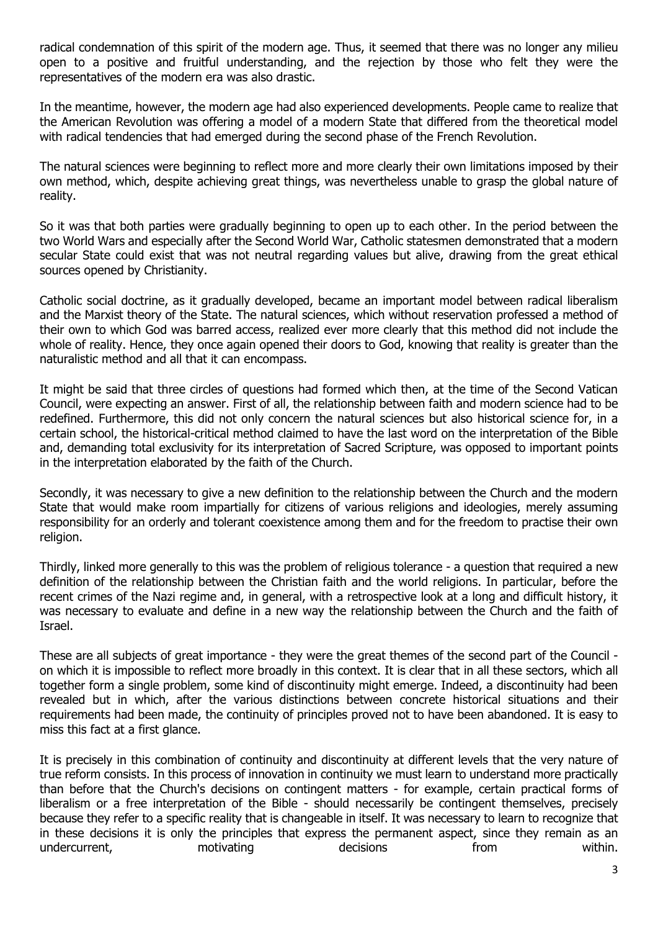radical condemnation of this spirit of the modern age. Thus, it seemed that there was no longer any milieu open to a positive and fruitful understanding, and the rejection by those who felt they were the representatives of the modern era was also drastic.

In the meantime, however, the modern age had also experienced developments. People came to realize that the American Revolution was offering a model of a modern State that differed from the theoretical model with radical tendencies that had emerged during the second phase of the French Revolution.

The natural sciences were beginning to reflect more and more clearly their own limitations imposed by their own method, which, despite achieving great things, was nevertheless unable to grasp the global nature of reality.

So it was that both parties were gradually beginning to open up to each other. In the period between the two World Wars and especially after the Second World War, Catholic statesmen demonstrated that a modern secular State could exist that was not neutral regarding values but alive, drawing from the great ethical sources opened by Christianity.

Catholic social doctrine, as it gradually developed, became an important model between radical liberalism and the Marxist theory of the State. The natural sciences, which without reservation professed a method of their own to which God was barred access, realized ever more clearly that this method did not include the whole of reality. Hence, they once again opened their doors to God, knowing that reality is greater than the naturalistic method and all that it can encompass.

It might be said that three circles of questions had formed which then, at the time of the Second Vatican Council, were expecting an answer. First of all, the relationship between faith and modern science had to be redefined. Furthermore, this did not only concern the natural sciences but also historical science for, in a certain school, the historical-critical method claimed to have the last word on the interpretation of the Bible and, demanding total exclusivity for its interpretation of Sacred Scripture, was opposed to important points in the interpretation elaborated by the faith of the Church.

Secondly, it was necessary to give a new definition to the relationship between the Church and the modern State that would make room impartially for citizens of various religions and ideologies, merely assuming responsibility for an orderly and tolerant coexistence among them and for the freedom to practise their own religion.

Thirdly, linked more generally to this was the problem of religious tolerance - a question that required a new definition of the relationship between the Christian faith and the world religions. In particular, before the recent crimes of the Nazi regime and, in general, with a retrospective look at a long and difficult history, it was necessary to evaluate and define in a new way the relationship between the Church and the faith of Israel.

These are all subjects of great importance - they were the great themes of the second part of the Council on which it is impossible to reflect more broadly in this context. It is clear that in all these sectors, which all together form a single problem, some kind of discontinuity might emerge. Indeed, a discontinuity had been revealed but in which, after the various distinctions between concrete historical situations and their requirements had been made, the continuity of principles proved not to have been abandoned. It is easy to miss this fact at a first glance.

It is precisely in this combination of continuity and discontinuity at different levels that the very nature of true reform consists. In this process of innovation in continuity we must learn to understand more practically than before that the Church's decisions on contingent matters - for example, certain practical forms of liberalism or a free interpretation of the Bible - should necessarily be contingent themselves, precisely because they refer to a specific reality that is changeable in itself. It was necessary to learn to recognize that in these decisions it is only the principles that express the permanent aspect, since they remain as an undercurrent, and motivating the decisions of the motivating the decisions of the motivating on the motivating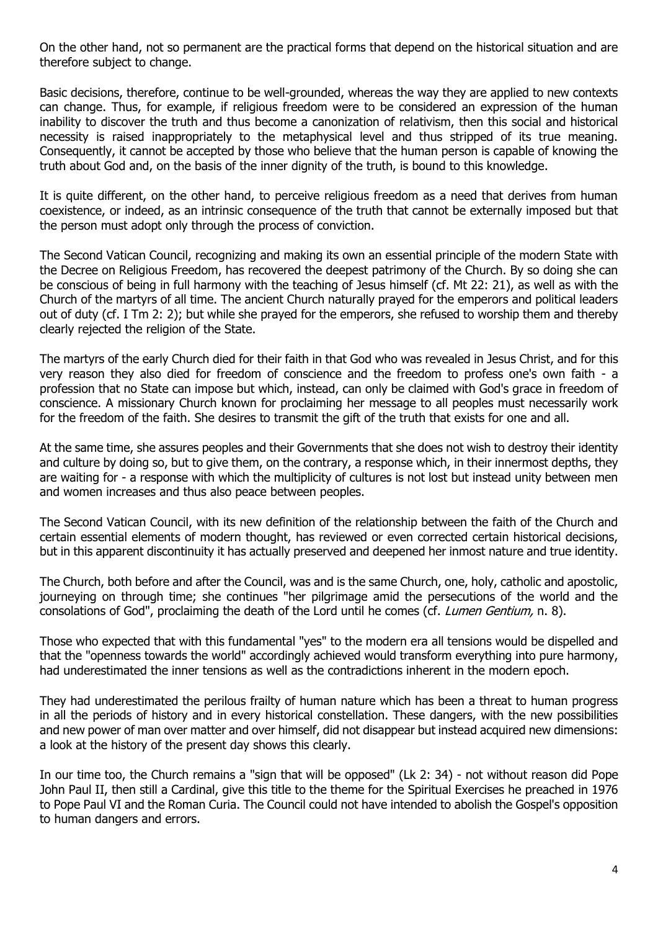On the other hand, not so permanent are the practical forms that depend on the historical situation and are therefore subject to change.

Basic decisions, therefore, continue to be well-grounded, whereas the way they are applied to new contexts can change. Thus, for example, if religious freedom were to be considered an expression of the human inability to discover the truth and thus become a canonization of relativism, then this social and historical necessity is raised inappropriately to the metaphysical level and thus stripped of its true meaning. Consequently, it cannot be accepted by those who believe that the human person is capable of knowing the truth about God and, on the basis of the inner dignity of the truth, is bound to this knowledge.

It is quite different, on the other hand, to perceive religious freedom as a need that derives from human coexistence, or indeed, as an intrinsic consequence of the truth that cannot be externally imposed but that the person must adopt only through the process of conviction.

The Second Vatican Council, recognizing and making its own an essential principle of the modern State with the Decree on Religious Freedom, has recovered the deepest patrimony of the Church. By so doing she can be conscious of being in full harmony with the teaching of Jesus himself (cf. Mt 22: 21), as well as with the Church of the martyrs of all time. The ancient Church naturally prayed for the emperors and political leaders out of duty (cf. I Tm 2: 2); but while she prayed for the emperors, she refused to worship them and thereby clearly rejected the religion of the State.

The martyrs of the early Church died for their faith in that God who was revealed in Jesus Christ, and for this very reason they also died for freedom of conscience and the freedom to profess one's own faith - a profession that no State can impose but which, instead, can only be claimed with God's grace in freedom of conscience. A missionary Church known for proclaiming her message to all peoples must necessarily work for the freedom of the faith. She desires to transmit the gift of the truth that exists for one and all.

At the same time, she assures peoples and their Governments that she does not wish to destroy their identity and culture by doing so, but to give them, on the contrary, a response which, in their innermost depths, they are waiting for - a response with which the multiplicity of cultures is not lost but instead unity between men and women increases and thus also peace between peoples.

The Second Vatican Council, with its new definition of the relationship between the faith of the Church and certain essential elements of modern thought, has reviewed or even corrected certain historical decisions, but in this apparent discontinuity it has actually preserved and deepened her inmost nature and true identity.

The Church, both before and after the Council, was and is the same Church, one, holy, catholic and apostolic, journeying on through time; she continues "her pilgrimage amid the persecutions of the world and the consolations of God", proclaiming the death of the Lord until he comes (cf. *Lumen Gentium*, n. 8).

Those who expected that with this fundamental "yes" to the modern era all tensions would be dispelled and that the "openness towards the world" accordingly achieved would transform everything into pure harmony, had underestimated the inner tensions as well as the contradictions inherent in the modern epoch.

They had underestimated the perilous frailty of human nature which has been a threat to human progress in all the periods of history and in every historical constellation. These dangers, with the new possibilities and new power of man over matter and over himself, did not disappear but instead acquired new dimensions: a look at the history of the present day shows this clearly.

In our time too, the Church remains a "sign that will be opposed" (Lk 2: 34) - not without reason did Pope John Paul II, then still a Cardinal, give this title to the theme for the Spiritual Exercises he preached in 1976 to Pope Paul VI and the Roman Curia. The Council could not have intended to abolish the Gospel's opposition to human dangers and errors.